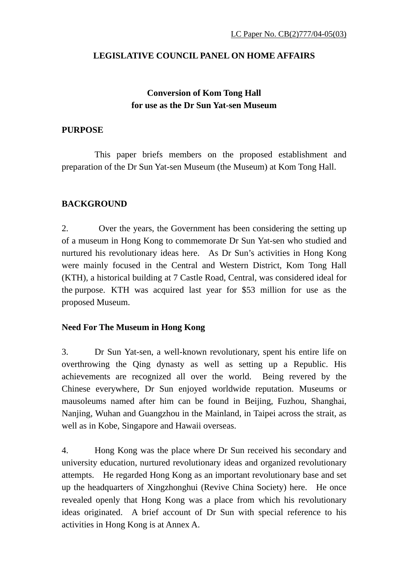# **LEGISLATIVE COUNCIL PANEL ON HOME AFFAIRS**

# **Conversion of Kom Tong Hall for use as the Dr Sun Yat-sen Museum**

# **PURPOSE**

 This paper briefs members on the proposed establishment and preparation of the Dr Sun Yat-sen Museum (the Museum) at Kom Tong Hall.

# **BACKGROUND**

2. Over the years, the Government has been considering the setting up of a museum in Hong Kong to commemorate Dr Sun Yat-sen who studied and nurtured his revolutionary ideas here. As Dr Sun's activities in Hong Kong were mainly focused in the Central and Western District, Kom Tong Hall (KTH), a historical building at 7 Castle Road, Central, was considered ideal for the purpose. KTH was acquired last year for \$53 million for use as the proposed Museum.

## **Need For The Museum in Hong Kong**

3. Dr Sun Yat-sen, a well-known revolutionary, spent his entire life on overthrowing the Qing dynasty as well as setting up a Republic. His achievements are recognized all over the world. Being revered by the Chinese everywhere, Dr Sun enjoyed worldwide reputation. Museums or mausoleums named after him can be found in Beijing, Fuzhou, Shanghai, Nanjing, Wuhan and Guangzhou in the Mainland, in Taipei across the strait, as well as in Kobe, Singapore and Hawaii overseas.

4. Hong Kong was the place where Dr Sun received his secondary and university education, nurtured revolutionary ideas and organized revolutionary attempts. He regarded Hong Kong as an important revolutionary base and set up the headquarters of Xingzhonghui (Revive China Society) here. He once revealed openly that Hong Kong was a place from which his revolutionary ideas originated. A brief account of Dr Sun with special reference to his activities in Hong Kong is at Annex A.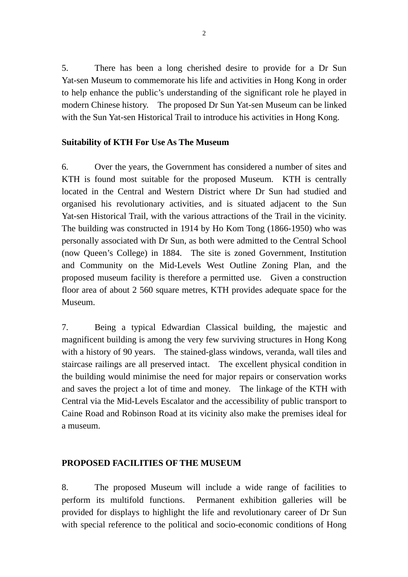5. There has been a long cherished desire to provide for a Dr Sun Yat-sen Museum to commemorate his life and activities in Hong Kong in order to help enhance the public's understanding of the significant role he played in modern Chinese history. The proposed Dr Sun Yat-sen Museum can be linked with the Sun Yat-sen Historical Trail to introduce his activities in Hong Kong.

## **Suitability of KTH For Use As The Museum**

6. Over the years, the Government has considered a number of sites and KTH is found most suitable for the proposed Museum. KTH is centrally located in the Central and Western District where Dr Sun had studied and organised his revolutionary activities, and is situated adjacent to the Sun Yat-sen Historical Trail, with the various attractions of the Trail in the vicinity. The building was constructed in 1914 by Ho Kom Tong (1866-1950) who was personally associated with Dr Sun, as both were admitted to the Central School (now Queen's College) in 1884. The site is zoned Government, Institution and Community on the Mid-Levels West Outline Zoning Plan, and the proposed museum facility is therefore a permitted use. Given a construction floor area of about 2 560 square metres, KTH provides adequate space for the Museum.

7. Being a typical Edwardian Classical building, the majestic and magnificent building is among the very few surviving structures in Hong Kong with a history of 90 years. The stained-glass windows, veranda, wall tiles and staircase railings are all preserved intact. The excellent physical condition in the building would minimise the need for major repairs or conservation works and saves the project a lot of time and money. The linkage of the KTH with Central via the Mid-Levels Escalator and the accessibility of public transport to Caine Road and Robinson Road at its vicinity also make the premises ideal for a museum.

# **PROPOSED FACILITIES OF THE MUSEUM**

8. The proposed Museum will include a wide range of facilities to perform its multifold functions. Permanent exhibition galleries will be provided for displays to highlight the life and revolutionary career of Dr Sun with special reference to the political and socio-economic conditions of Hong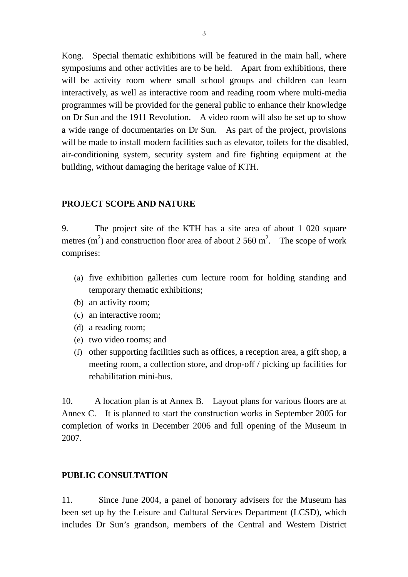Kong. Special thematic exhibitions will be featured in the main hall, where symposiums and other activities are to be held. Apart from exhibitions, there will be activity room where small school groups and children can learn interactively, as well as interactive room and reading room where multi-media programmes will be provided for the general public to enhance their knowledge on Dr Sun and the 1911 Revolution. A video room will also be set up to show a wide range of documentaries on Dr Sun. As part of the project, provisions will be made to install modern facilities such as elevator, toilets for the disabled, air-conditioning system, security system and fire fighting equipment at the building, without damaging the heritage value of KTH.

#### **PROJECT SCOPE AND NATURE**

9. The project site of the KTH has a site area of about 1 020 square metres  $(m^2)$  and construction floor area of about 2 560 m<sup>2</sup>. The scope of work comprises:

- (a) five exhibition galleries cum lecture room for holding standing and temporary thematic exhibitions;
- (b) an activity room;
- (c) an interactive room;
- (d) a reading room;
- (e) two video rooms; and
- (f) other supporting facilities such as offices, a reception area, a gift shop, a meeting room, a collection store, and drop-off / picking up facilities for rehabilitation mini-bus.

10. A location plan is at Annex B. Layout plans for various floors are at Annex C. It is planned to start the construction works in September 2005 for completion of works in December 2006 and full opening of the Museum in 2007.

### **PUBLIC CONSULTATION**

11. Since June 2004, a panel of honorary advisers for the Museum has been set up by the Leisure and Cultural Services Department (LCSD), which includes Dr Sun's grandson, members of the Central and Western District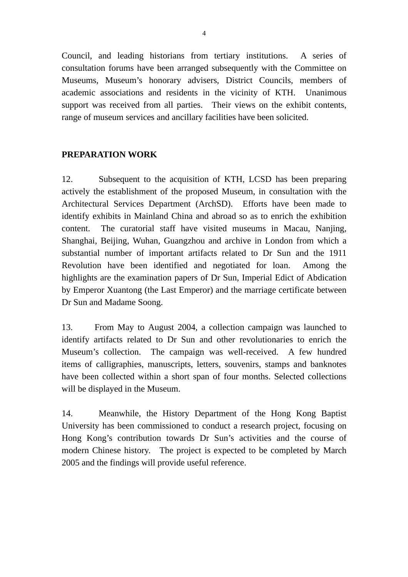Council, and leading historians from tertiary institutions. A series of consultation forums have been arranged subsequently with the Committee on Museums, Museum's honorary advisers, District Councils, members of academic associations and residents in the vicinity of KTH. Unanimous support was received from all parties. Their views on the exhibit contents, range of museum services and ancillary facilities have been solicited.

# **PREPARATION WORK**

12. Subsequent to the acquisition of KTH, LCSD has been preparing actively the establishment of the proposed Museum, in consultation with the Architectural Services Department (ArchSD). Efforts have been made to identify exhibits in Mainland China and abroad so as to enrich the exhibition content. The curatorial staff have visited museums in Macau, Nanjing, Shanghai, Beijing, Wuhan, Guangzhou and archive in London from which a substantial number of important artifacts related to Dr Sun and the 1911 Revolution have been identified and negotiated for loan. Among the highlights are the examination papers of Dr Sun, Imperial Edict of Abdication by Emperor Xuantong (the Last Emperor) and the marriage certificate between Dr Sun and Madame Soong.

13. From May to August 2004, a collection campaign was launched to identify artifacts related to Dr Sun and other revolutionaries to enrich the Museum's collection. The campaign was well-received. A few hundred items of calligraphies, manuscripts, letters, souvenirs, stamps and banknotes have been collected within a short span of four months. Selected collections will be displayed in the Museum.

14. Meanwhile, the History Department of the Hong Kong Baptist University has been commissioned to conduct a research project, focusing on Hong Kong's contribution towards Dr Sun's activities and the course of modern Chinese history. The project is expected to be completed by March 2005 and the findings will provide useful reference.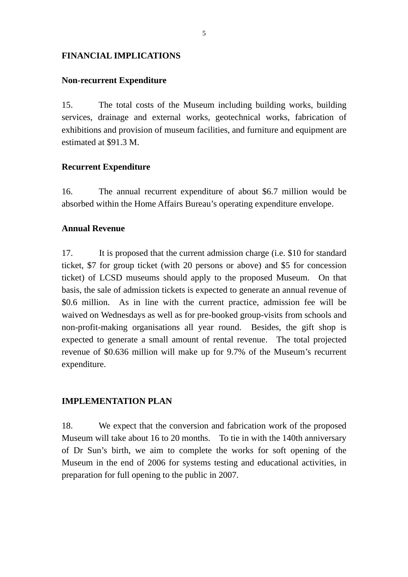## **FINANCIAL IMPLICATIONS**

#### **Non-recurrent Expenditure**

15. The total costs of the Museum including building works, building services, drainage and external works, geotechnical works, fabrication of exhibitions and provision of museum facilities, and furniture and equipment are estimated at \$91.3 M.

## **Recurrent Expenditure**

16. The annual recurrent expenditure of about \$6.7 million would be absorbed within the Home Affairs Bureau's operating expenditure envelope.

## **Annual Revenue**

17. It is proposed that the current admission charge (i.e. \$10 for standard ticket, \$7 for group ticket (with 20 persons or above) and \$5 for concession ticket) of LCSD museums should apply to the proposed Museum. On that basis, the sale of admission tickets is expected to generate an annual revenue of \$0.6 million. As in line with the current practice, admission fee will be waived on Wednesdays as well as for pre-booked group-visits from schools and non-profit-making organisations all year round. Besides, the gift shop is expected to generate a small amount of rental revenue. The total projected revenue of \$0.636 million will make up for 9.7% of the Museum's recurrent expenditure.

### **IMPLEMENTATION PLAN**

18. We expect that the conversion and fabrication work of the proposed Museum will take about 16 to 20 months. To tie in with the 140th anniversary of Dr Sun's birth, we aim to complete the works for soft opening of the Museum in the end of 2006 for systems testing and educational activities, in preparation for full opening to the public in 2007.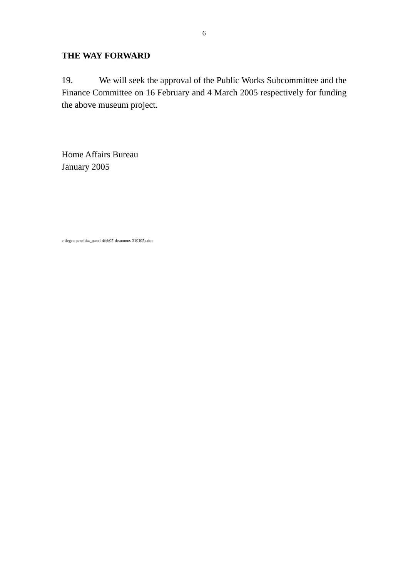## **THE WAY FORWARD**

19. We will seek the approval of the Public Works Subcommittee and the Finance Committee on 16 February and 4 March 2005 respectively for funding the above museum project.

Home Affairs Bureau January 2005

c:\legco panel\ha\_panel-4feb05-drsunmus-310105a.doc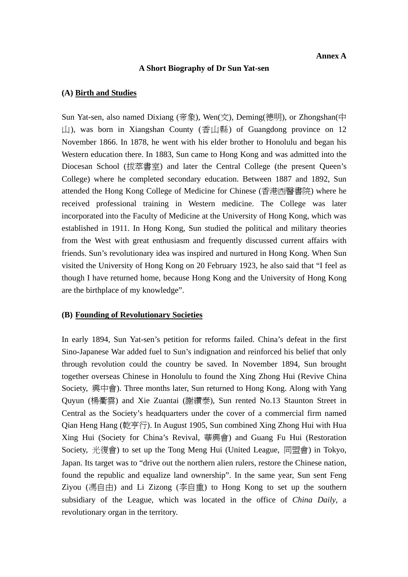#### **A Short Biography of Dr Sun Yat-sen**

#### **(A) Birth and Studies**

Sun Yat-sen, also named Dixiang (帝象), Wen(文), Deming(德明), or Zhongshan(中  $\Box$ ), was born in Xiangshan County (香山縣) of Guangdong province on 12 November 1866. In 1878, he went with his elder brother to Honolulu and began his Western education there. In 1883, Sun came to Hong Kong and was admitted into the Diocesan School (拔萃書室) and later the Central College (the present Queen's College) where he completed secondary education. Between 1887 and 1892, Sun attended the Hong Kong College of Medicine for Chinese (香港西醫書院) where he received professional training in Western medicine. The College was later incorporated into the Faculty of Medicine at the University of Hong Kong, which was established in 1911. In Hong Kong, Sun studied the political and military theories from the West with great enthusiasm and frequently discussed current affairs with friends. Sun's revolutionary idea was inspired and nurtured in Hong Kong. When Sun visited the University of Hong Kong on 20 February 1923, he also said that "I feel as though I have returned home, because Hong Kong and the University of Hong Kong are the birthplace of my knowledge".

#### **(B) Founding of Revolutionary Societies**

In early 1894, Sun Yat-sen's petition for reforms failed. China's defeat in the first Sino-Japanese War added fuel to Sun's indignation and reinforced his belief that only through revolution could the country be saved. In November 1894, Sun brought together overseas Chinese in Honolulu to found the Xing Zhong Hui (Revive China Society, 興中會). Three months later, Sun returned to Hong Kong. Along with Yang Quyun (楊衢雲) and Xie Zuantai (謝纘泰), Sun rented No.13 Staunton Street in Central as the Society's headquarters under the cover of a commercial firm named Qian Heng Hang (乾亨行). In August 1905, Sun combined Xing Zhong Hui with Hua Xing Hui (Society for China's Revival, 華興會) and Guang Fu Hui (Restoration Society, 光復會) to set up the Tong Meng Hui (United League, 同盟會) in Tokyo, Japan. Its target was to "drive out the northern alien rulers, restore the Chinese nation, found the republic and equalize land ownership". In the same year, Sun sent Feng Ziyou (馮自由) and Li Zizong (李自重) to Hong Kong to set up the southern subsidiary of the League, which was located in the office of *China Daily*, a revolutionary organ in the territory.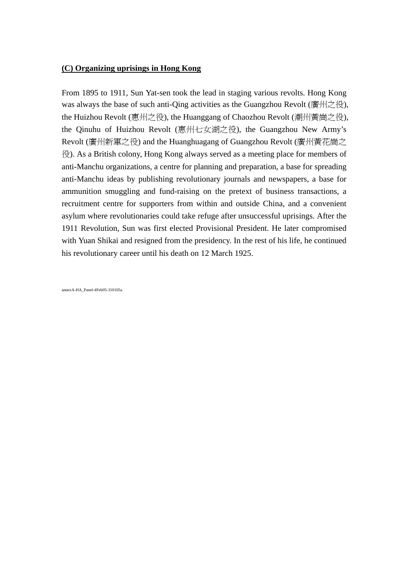#### **(C) Organizing uprisings in Hong Kong**

From 1895 to 1911, Sun Yat-sen took the lead in staging various revolts. Hong Kong was always the base of such anti-Qing activities as the Guangzhou Revolt (廣州之役), the Huizhou Revolt (惠州之役), the Huanggang of Chaozhou Revolt (潮州黃崗之役), the Qinuhu of Huizhou Revolt (惠州七女湖之役), the Guangzhou New Army's Revolt (廣州新軍之役) and the Huanghuagang of Guangzhou Revolt (廣州黃花崗之 役). As a British colony, Hong Kong always served as a meeting place for members of anti-Manchu organizations, a centre for planning and preparation, a base for spreading anti-Manchu ideas by publishing revolutionary journals and newspapers, a base for ammunition smuggling and fund-raising on the pretext of business transactions, a recruitment centre for supporters from within and outside China, and a convenient asylum where revolutionaries could take refuge after unsuccessful uprisings. After the 1911 Revolution, Sun was first elected Provisional President. He later compromised with Yuan Shikai and resigned from the presidency. In the rest of his life, he continued his revolutionary career until his death on 12 March 1925.

annexA-HA\_Panel-4Feb05-310105a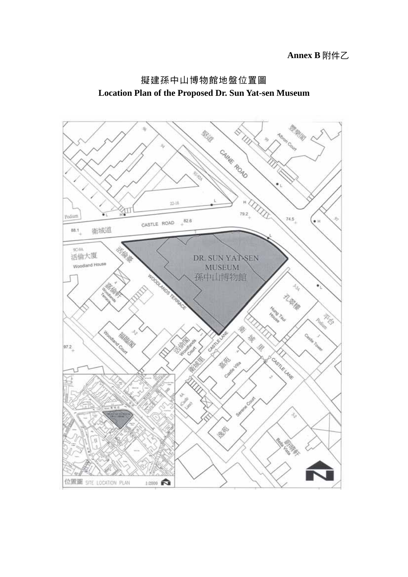

# 擬建孫中山博物館地盤位置圖 **Location Plan of the Proposed Dr. Sun Yat-sen Museum**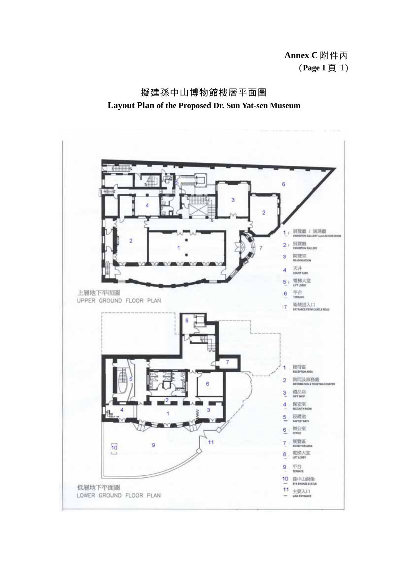**Annex C** 附件丙 (**Page 1** 頁 1)

![](_page_9_Figure_1.jpeg)

![](_page_9_Figure_2.jpeg)